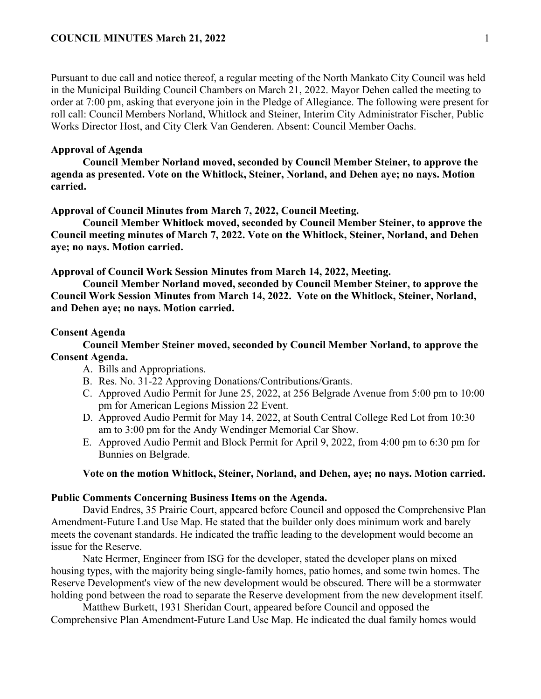Pursuant to due call and notice thereof, a regular meeting of the North Mankato City Council was held in the Municipal Building Council Chambers on March 21, 2022. Mayor Dehen called the meeting to order at 7:00 pm, asking that everyone join in the Pledge of Allegiance. The following were present for roll call: Council Members Norland, Whitlock and Steiner, Interim City Administrator Fischer, Public Works Director Host, and City Clerk Van Genderen. Absent: Council Member Oachs.

## **Approval of Agenda**

**Council Member Norland moved, seconded by Council Member Steiner, to approve the agenda as presented. Vote on the Whitlock, Steiner, Norland, and Dehen aye; no nays. Motion carried.** 

### **Approval of Council Minutes from March 7, 2022, Council Meeting.**

**Council Member Whitlock moved, seconded by Council Member Steiner, to approve the Council meeting minutes of March 7, 2022. Vote on the Whitlock, Steiner, Norland, and Dehen aye; no nays. Motion carried.** 

**Approval of Council Work Session Minutes from March 14, 2022, Meeting.**

**Council Member Norland moved, seconded by Council Member Steiner, to approve the Council Work Session Minutes from March 14, 2022. Vote on the Whitlock, Steiner, Norland, and Dehen aye; no nays. Motion carried.** 

#### **Consent Agenda**

**Council Member Steiner moved, seconded by Council Member Norland, to approve the Consent Agenda.**

- A. Bills and Appropriations.
- B. Res. No. 31-22 Approving Donations/Contributions/Grants.
- C. Approved Audio Permit for June 25, 2022, at 256 Belgrade Avenue from 5:00 pm to 10:00 pm for American Legions Mission 22 Event.
- D. Approved Audio Permit for May 14, 2022, at South Central College Red Lot from 10:30 am to 3:00 pm for the Andy Wendinger Memorial Car Show.
- E. Approved Audio Permit and Block Permit for April 9, 2022, from 4:00 pm to 6:30 pm for Bunnies on Belgrade.

## **Vote on the motion Whitlock, Steiner, Norland, and Dehen, aye; no nays. Motion carried.**

## **Public Comments Concerning Business Items on the Agenda.**

David Endres, 35 Prairie Court, appeared before Council and opposed the Comprehensive Plan Amendment-Future Land Use Map. He stated that the builder only does minimum work and barely meets the covenant standards. He indicated the traffic leading to the development would become an issue for the Reserve.

Nate Hermer, Engineer from ISG for the developer, stated the developer plans on mixed housing types, with the majority being single-family homes, patio homes, and some twin homes. The Reserve Development's view of the new development would be obscured. There will be a stormwater holding pond between the road to separate the Reserve development from the new development itself.

Matthew Burkett, 1931 Sheridan Court, appeared before Council and opposed the Comprehensive Plan Amendment-Future Land Use Map. He indicated the dual family homes would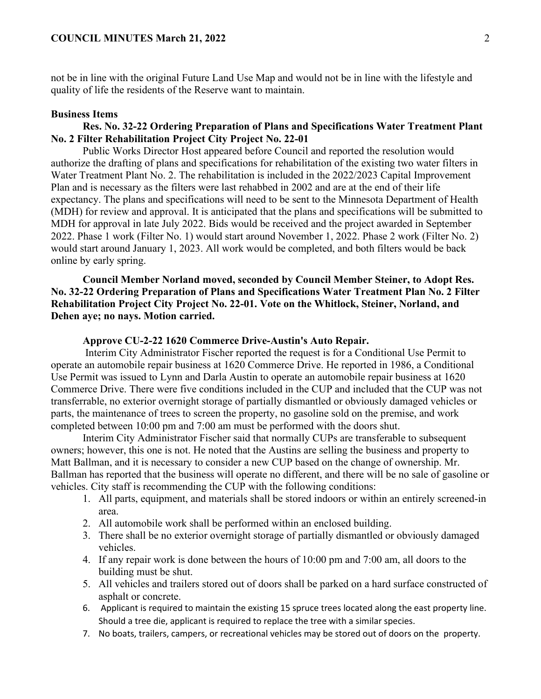not be in line with the original Future Land Use Map and would not be in line with the lifestyle and quality of life the residents of the Reserve want to maintain.

#### **Business Items**

# **Res. No. 32-22 Ordering Preparation of Plans and Specifications Water Treatment Plant No. 2 Filter Rehabilitation Project City Project No. 22-01**

Public Works Director Host appeared before Council and reported the resolution would authorize the drafting of plans and specifications for rehabilitation of the existing two water filters in Water Treatment Plant No. 2. The rehabilitation is included in the 2022/2023 Capital Improvement Plan and is necessary as the filters were last rehabbed in 2002 and are at the end of their life expectancy. The plans and specifications will need to be sent to the Minnesota Department of Health (MDH) for review and approval. It is anticipated that the plans and specifications will be submitted to MDH for approval in late July 2022. Bids would be received and the project awarded in September 2022. Phase 1 work (Filter No. 1) would start around November 1, 2022. Phase 2 work (Filter No. 2) would start around January 1, 2023. All work would be completed, and both filters would be back online by early spring.

**Council Member Norland moved, seconded by Council Member Steiner, to Adopt Res. No. 32-22 Ordering Preparation of Plans and Specifications Water Treatment Plan No. 2 Filter Rehabilitation Project City Project No. 22-01. Vote on the Whitlock, Steiner, Norland, and Dehen aye; no nays. Motion carried.** 

#### **Approve CU-2-22 1620 Commerce Drive-Austin's Auto Repair.**

Interim City Administrator Fischer reported the request is for a Conditional Use Permit to operate an automobile repair business at 1620 Commerce Drive. He reported in 1986, a Conditional Use Permit was issued to Lynn and Darla Austin to operate an automobile repair business at 1620 Commerce Drive. There were five conditions included in the CUP and included that the CUP was not transferrable, no exterior overnight storage of partially dismantled or obviously damaged vehicles or parts, the maintenance of trees to screen the property, no gasoline sold on the premise, and work completed between 10:00 pm and 7:00 am must be performed with the doors shut.

Interim City Administrator Fischer said that normally CUPs are transferable to subsequent owners; however, this one is not. He noted that the Austins are selling the business and property to Matt Ballman, and it is necessary to consider a new CUP based on the change of ownership. Mr. Ballman has reported that the business will operate no different, and there will be no sale of gasoline or vehicles. City staff is recommending the CUP with the following conditions:

- 1. All parts, equipment, and materials shall be stored indoors or within an entirely screened-in area.
- 2. All automobile work shall be performed within an enclosed building.
- 3. There shall be no exterior overnight storage of partially dismantled or obviously damaged vehicles.
- 4. If any repair work is done between the hours of 10:00 pm and 7:00 am, all doors to the building must be shut.
- 5. All vehicles and trailers stored out of doors shall be parked on a hard surface constructed of asphalt or concrete.
- 6. Applicant is required to maintain the existing 15 spruce trees located along the east property line. Should a tree die, applicant is required to replace the tree with a similar species.
- 7. No boats, trailers, campers, or recreational vehicles may be stored out of doors on the property.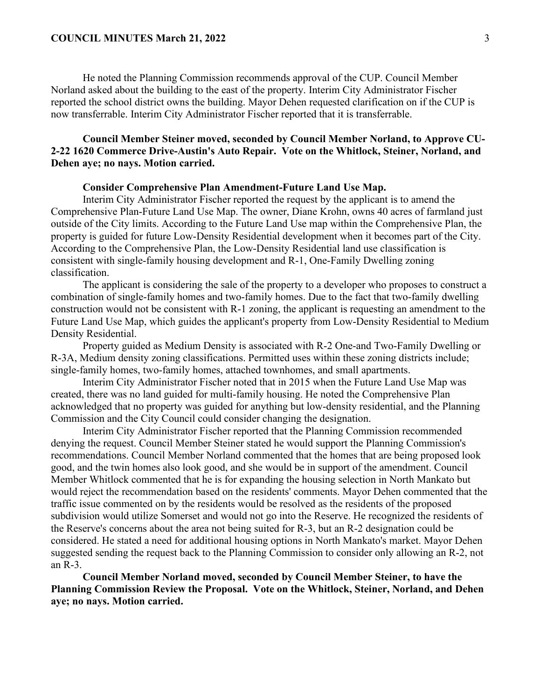### **COUNCIL MINUTES March 21, 2022** 3

He noted the Planning Commission recommends approval of the CUP. Council Member Norland asked about the building to the east of the property. Interim City Administrator Fischer reported the school district owns the building. Mayor Dehen requested clarification on if the CUP is now transferrable. Interim City Administrator Fischer reported that it is transferrable.

# **Council Member Steiner moved, seconded by Council Member Norland, to Approve CU-2-22 1620 Commerce Drive-Austin's Auto Repair. Vote on the Whitlock, Steiner, Norland, and Dehen aye; no nays. Motion carried.**

## **Consider Comprehensive Plan Amendment-Future Land Use Map.**

Interim City Administrator Fischer reported the request by the applicant is to amend the Comprehensive Plan-Future Land Use Map. The owner, Diane Krohn, owns 40 acres of farmland just outside of the City limits. According to the Future Land Use map within the Comprehensive Plan, the property is guided for future Low-Density Residential development when it becomes part of the City. According to the Comprehensive Plan, the Low-Density Residential land use classification is consistent with single-family housing development and R-1, One-Family Dwelling zoning classification.

The applicant is considering the sale of the property to a developer who proposes to construct a combination of single-family homes and two-family homes. Due to the fact that two-family dwelling construction would not be consistent with R-1 zoning, the applicant is requesting an amendment to the Future Land Use Map, which guides the applicant's property from Low-Density Residential to Medium Density Residential.

Property guided as Medium Density is associated with R-2 One-and Two-Family Dwelling or R-3A, Medium density zoning classifications. Permitted uses within these zoning districts include; single-family homes, two-family homes, attached townhomes, and small apartments.

Interim City Administrator Fischer noted that in 2015 when the Future Land Use Map was created, there was no land guided for multi-family housing. He noted the Comprehensive Plan acknowledged that no property was guided for anything but low-density residential, and the Planning Commission and the City Council could consider changing the designation.

Interim City Administrator Fischer reported that the Planning Commission recommended denying the request. Council Member Steiner stated he would support the Planning Commission's recommendations. Council Member Norland commented that the homes that are being proposed look good, and the twin homes also look good, and she would be in support of the amendment. Council Member Whitlock commented that he is for expanding the housing selection in North Mankato but would reject the recommendation based on the residents' comments. Mayor Dehen commented that the traffic issue commented on by the residents would be resolved as the residents of the proposed subdivision would utilize Somerset and would not go into the Reserve. He recognized the residents of the Reserve's concerns about the area not being suited for R-3, but an R-2 designation could be considered. He stated a need for additional housing options in North Mankato's market. Mayor Dehen suggested sending the request back to the Planning Commission to consider only allowing an R-2, not an R-3.

**Council Member Norland moved, seconded by Council Member Steiner, to have the Planning Commission Review the Proposal. Vote on the Whitlock, Steiner, Norland, and Dehen aye; no nays. Motion carried.**